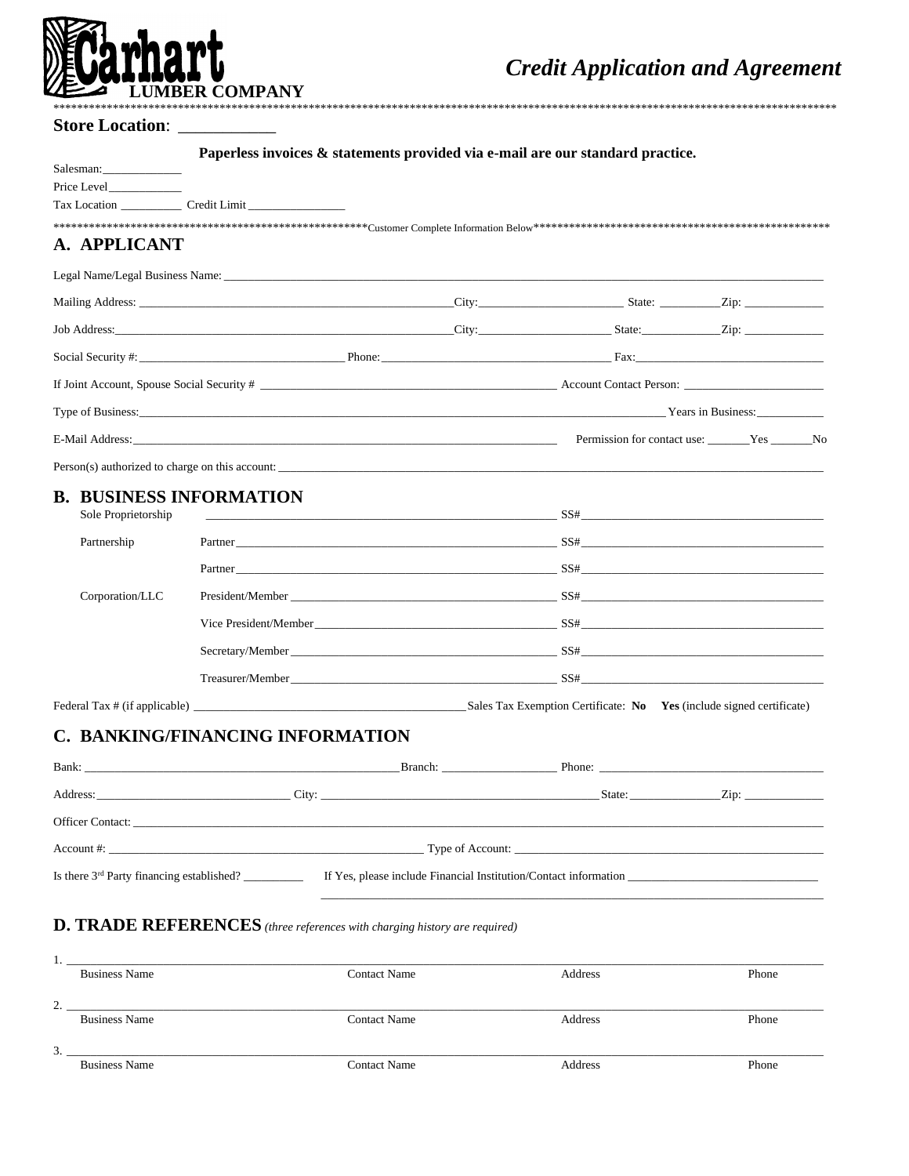

## Store Location: \_\_

Paperless invoices & statements provided via e-mail are our standard practice.

| A. APPLICANT        |                                                                                                                                                                                                                                |         |                                                         |  |
|---------------------|--------------------------------------------------------------------------------------------------------------------------------------------------------------------------------------------------------------------------------|---------|---------------------------------------------------------|--|
|                     |                                                                                                                                                                                                                                |         |                                                         |  |
|                     | Mailing Address: <u>City:</u> State: Zip: 27.                                                                                                                                                                                  |         |                                                         |  |
|                     |                                                                                                                                                                                                                                |         |                                                         |  |
|                     |                                                                                                                                                                                                                                |         |                                                         |  |
|                     | If Joint Account, Spouse Social Security #                                                                                                                                                                                     |         |                                                         |  |
|                     | Type of Business: Years in Business:                                                                                                                                                                                           |         |                                                         |  |
|                     | E-Mail Address: Yes No No New York 2012 12:00 No New York 2013 12:00 No New York 2014 12:00 No New York 2014 12:00 No New York 2014 12:00 No New York 2014 12:00 No New York 2014 12:00 No New York 2014 12:00 No New York 201 |         |                                                         |  |
|                     |                                                                                                                                                                                                                                |         |                                                         |  |
|                     | <b>B. BUSINESS INFORMATION</b>                                                                                                                                                                                                 |         |                                                         |  |
| Sole Proprietorship |                                                                                                                                                                                                                                |         | $SS#$ and $SS#$ and $SS#$ and $SS#$ and $SS#$           |  |
| Partnership         |                                                                                                                                                                                                                                |         | Partner SS#                                             |  |
|                     |                                                                                                                                                                                                                                |         |                                                         |  |
| Corporation/LLC     |                                                                                                                                                                                                                                |         |                                                         |  |
|                     |                                                                                                                                                                                                                                |         | Vice President/Member SS#                               |  |
|                     |                                                                                                                                                                                                                                |         |                                                         |  |
|                     |                                                                                                                                                                                                                                |         |                                                         |  |
|                     | Federal Tax # (if applicable) Sales Tax Exemption Certificate: No Yes (include signed certificate)                                                                                                                             |         |                                                         |  |
|                     | C. BANKING/FINANCING INFORMATION                                                                                                                                                                                               |         |                                                         |  |
| Bank:               |                                                                                                                                                                                                                                | Branch: | Phone: $\frac{1}{\sqrt{1-\frac{1}{2}}\cdot\frac{1}{2}}$ |  |

| Address:<br>the control of the control of the control of the control of              | City:                                                            | State: | $\chi$ ip: |
|--------------------------------------------------------------------------------------|------------------------------------------------------------------|--------|------------|
| <b>Officer Contact:</b><br><u> 1980 - John Stein, Amerikaansk politiker († 1901)</u> |                                                                  |        |            |
| $\text{Account #:}$                                                                  |                                                                  |        |            |
| Is there $3rd$ Party financing established?                                          | If Yes, please include Financial Institution/Contact information |        |            |

## **D. TRADE REFERENCES** (three references with charging history are required)

| . .                |                      |                     |         |       |
|--------------------|----------------------|---------------------|---------|-------|
|                    | <b>Business Name</b> | <b>Contact Name</b> | Address | Phone |
|                    |                      |                     |         |       |
|                    |                      |                     |         |       |
| $\sim$<br><u>.</u> |                      |                     |         |       |
|                    | <b>Business Name</b> | <b>Contact Name</b> | Address | Phone |
|                    |                      |                     |         |       |
|                    |                      |                     |         |       |
| 3.                 |                      |                     |         |       |
|                    | <b>Business Name</b> | <b>Contact Name</b> | Address | Phone |
|                    |                      |                     |         |       |